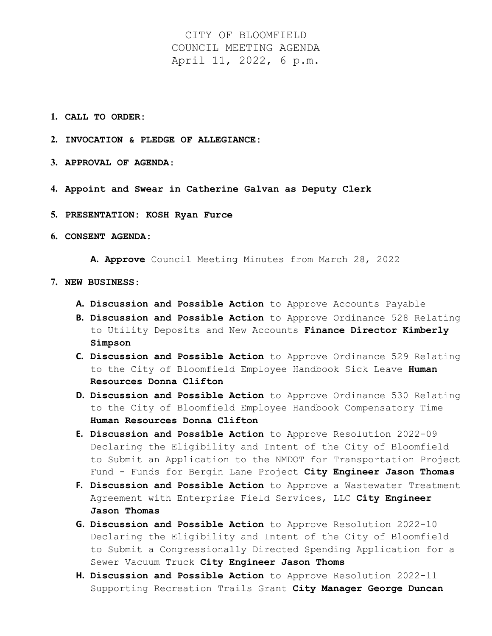CITY OF BLOOMFIELD COUNCIL MEETING AGENDA April 11, 2022, 6 p.m.

- **1. CALL TO ORDER:**
- **2. INVOCATION & PLEDGE OF ALLEGIANCE:**
- **3. APPROVAL OF AGENDA**:
- **4. Appoint and Swear in Catherine Galvan as Deputy Clerk**
- **5. PRESENTATION: KOSH Ryan Furce**
- **6. CONSENT AGENDA:**

**A. Approve** Council Meeting Minutes from March 28, 2022

- **7. NEW BUSINESS:**
	- **A. Discussion and Possible Action** to Approve Accounts Payable
	- **B. Discussion and Possible Action** to Approve Ordinance 528 Relating to Utility Deposits and New Accounts **Finance Director Kimberly Simpson**
	- **C. Discussion and Possible Action** to Approve Ordinance 529 Relating to the City of Bloomfield Employee Handbook Sick Leave **Human Resources Donna Clifton**
	- **D. Discussion and Possible Action** to Approve Ordinance 530 Relating to the City of Bloomfield Employee Handbook Compensatory Time **Human Resources Donna Clifton**
	- **E. Discussion and Possible Action** to Approve Resolution 2022-09 Declaring the Eligibility and Intent of the City of Bloomfield to Submit an Application to the NMDOT for Transportation Project Fund - Funds for Bergin Lane Project **City Engineer Jason Thomas**
	- **F. Discussion and Possible Action** to Approve a Wastewater Treatment Agreement with Enterprise Field Services, LLC **City Engineer Jason Thomas**
	- **G. Discussion and Possible Action** to Approve Resolution 2022-10 Declaring the Eligibility and Intent of the City of Bloomfield to Submit a Congressionally Directed Spending Application for a Sewer Vacuum Truck **City Engineer Jason Thoms**
	- **H. Discussion and Possible Action** to Approve Resolution 2022-11 Supporting Recreation Trails Grant **City Manager George Duncan**